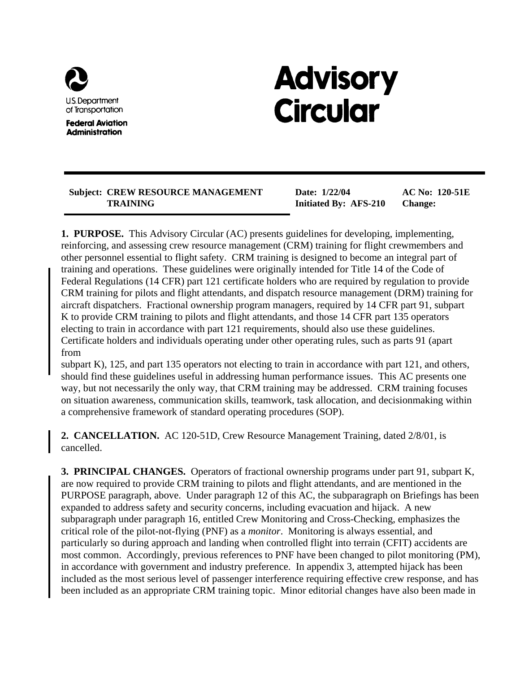

**Federal Aviation Administration** 

# **Advisory Circular**

#### **Subject: CREW RESOURCE MANAGEMENT TRAINING**

**Date: 1/22/04 Initiated By: AFS-210 AC No: 120-51E Change:**

**1. PURPOSE.** This Advisory Circular (AC) presents guidelines for developing, implementing, reinforcing, and assessing crew resource management (CRM) training for flight crewmembers and other personnel essential to flight safety. CRM training is designed to become an integral part of training and operations. These guidelines were originally intended for Title 14 of the Code of Federal Regulations (14 CFR) part 121 certificate holders who are required by regulation to provide CRM training for pilots and flight attendants, and dispatch resource management (DRM) training for aircraft dispatchers. Fractional ownership program managers, required by 14 CFR part 91, subpart K to provide CRM training to pilots and flight attendants, and those 14 CFR part 135 operators electing to train in accordance with part 121 requirements, should also use these guidelines. Certificate holders and individuals operating under other operating rules, such as parts 91 (apart from

subpart K), 125, and part 135 operators not electing to train in accordance with part 121, and others, should find these guidelines useful in addressing human performance issues. This AC presents one way, but not necessarily the only way, that CRM training may be addressed. CRM training focuses on situation awareness, communication skills, teamwork, task allocation, and decisionmaking within a comprehensive framework of standard operating procedures (SOP).

**2. CANCELLATION.** AC 120-51D, Crew Resource Management Training, dated 2/8/01, is cancelled.

**3. PRINCIPAL CHANGES.** Operators of fractional ownership programs under part 91, subpart K, are now required to provide CRM training to pilots and flight attendants, and are mentioned in the PURPOSE paragraph, above. Under paragraph 12 of this AC, the subparagraph on Briefings has been expanded to address safety and security concerns, including evacuation and hijack. A new subparagraph under paragraph 16, entitled Crew Monitoring and Cross-Checking, emphasizes the critical role of the pilot-not-flying (PNF) as a *monitor*. Monitoring is always essential, and particularly so during approach and landing when controlled flight into terrain (CFIT) accidents are most common. Accordingly, previous references to PNF have been changed to pilot monitoring (PM), in accordance with government and industry preference. In appendix 3, attempted hijack has been included as the most serious level of passenger interference requiring effective crew response, and has been included as an appropriate CRM training topic. Minor editorial changes have also been made in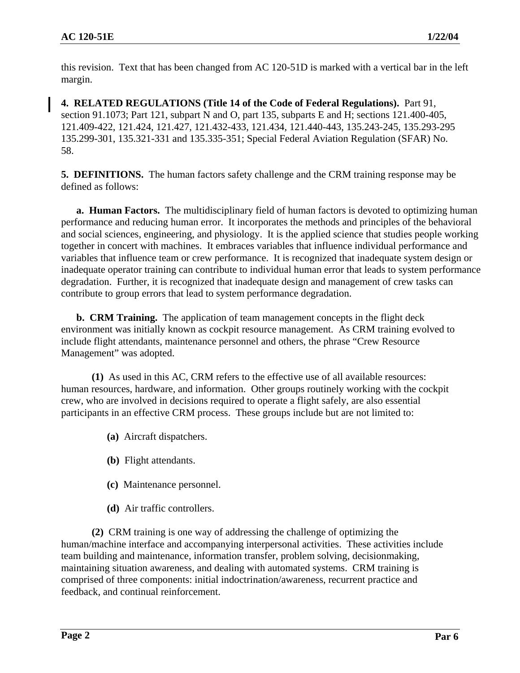this revision. Text that has been changed from AC 120-51D is marked with a vertical bar in the left margin.

**4. RELATED REGULATIONS (Title 14 of the Code of Federal Regulations).** Part 91, section 91.1073; Part 121, subpart N and O, part 135, subparts E and H; sections 121.400-405, 121.409-422, 121.424, 121.427, 121.432-433, 121.434, 121.440-443, 135.243-245, 135.293-295 135.299-301, 135.321-331 and 135.335-351; Special Federal Aviation Regulation (SFAR) No. 58.

**5. DEFINITIONS.** The human factors safety challenge and the CRM training response may be defined as follows:

**a. Human Factors.** The multidisciplinary field of human factors is devoted to optimizing human performance and reducing human error. It incorporates the methods and principles of the behavioral and social sciences, engineering, and physiology. It is the applied science that studies people working together in concert with machines. It embraces variables that influence individual performance and variables that influence team or crew performance. It is recognized that inadequate system design or inadequate operator training can contribute to individual human error that leads to system performance degradation. Further, it is recognized that inadequate design and management of crew tasks can contribute to group errors that lead to system performance degradation.

**b. CRM Training.** The application of team management concepts in the flight deck environment was initially known as cockpit resource management. As CRM training evolved to include flight attendants, maintenance personnel and others, the phrase "Crew Resource Management" was adopted.

**(1)** As used in this AC, CRM refers to the effective use of all available resources: human resources, hardware, and information. Other groups routinely working with the cockpit crew, who are involved in decisions required to operate a flight safely, are also essential participants in an effective CRM process. These groups include but are not limited to:

- **(a)** Aircraft dispatchers.
- **(b)** Flight attendants.
- **(c)** Maintenance personnel.
- **(d)** Air traffic controllers.

**(2)** CRM training is one way of addressing the challenge of optimizing the human/machine interface and accompanying interpersonal activities. These activities include team building and maintenance, information transfer, problem solving, decisionmaking, maintaining situation awareness, and dealing with automated systems. CRM training is comprised of three components: initial indoctrination/awareness, recurrent practice and feedback, and continual reinforcement.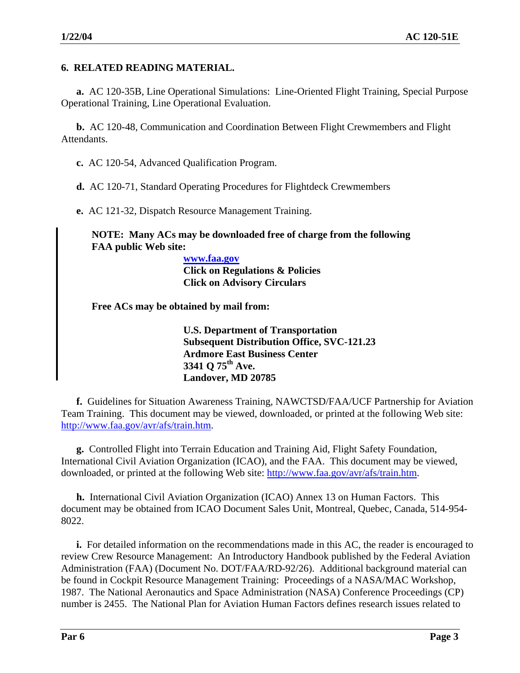#### **6. RELATED READING MATERIAL.**

**a.** AC 120-35B, Line Operational Simulations: Line-Oriented Flight Training, Special Purpose Operational Training, Line Operational Evaluation.

**b.** AC 120-48, Communication and Coordination Between Flight Crewmembers and Flight Attendants.

- **c.** AC 120-54, Advanced Qualification Program.
- **d.** AC 120-71, Standard Operating Procedures for Flightdeck Crewmembers
- **e.** AC 121-32, Dispatch Resource Management Training.

**NOTE: Many ACs may be downloaded free of charge from the following FAA public Web site:** 

> **[www.faa.gov](http://www.faa.gov/) Click on Regulations & Policies Click on Advisory Circulars**

**Free ACs may be obtained by mail from:** 

**U.S. Department of Transportation Subsequent Distribution Office, SVC-121.23 Ardmore East Business Center**  3341 O 75<sup>th</sup> Ave. **Landover, MD 20785** 

**f.** Guidelines for Situation Awareness Training, NAWCTSD/FAA/UCF Partnership for Aviation Team Training. This document may be viewed, downloaded, or printed at the following Web site: [http://www.faa.gov/avr/afs/train.htm.](http://www.faa.gov/avr/afs/train.htm)

**g.** Controlled Flight into Terrain Education and Training Aid, Flight Safety Foundation, International Civil Aviation Organization (ICAO), and the FAA. This document may be viewed, downloaded, or printed at the following Web site: [http://www.faa.gov/avr/afs/train.htm.](http://www.faa.gov/avr/afs/train.htm)

**h.** International Civil Aviation Organization (ICAO) Annex 13 on Human Factors. This document may be obtained from ICAO Document Sales Unit, Montreal, Quebec, Canada, 514-954- 8022.

**i.** For detailed information on the recommendations made in this AC, the reader is encouraged to review Crew Resource Management: An Introductory Handbook published by the Federal Aviation Administration (FAA) (Document No. DOT/FAA/RD-92/26). Additional background material can be found in Cockpit Resource Management Training: Proceedings of a NASA/MAC Workshop, 1987. The National Aeronautics and Space Administration (NASA) Conference Proceedings (CP) number is 2455. The National Plan for Aviation Human Factors defines research issues related to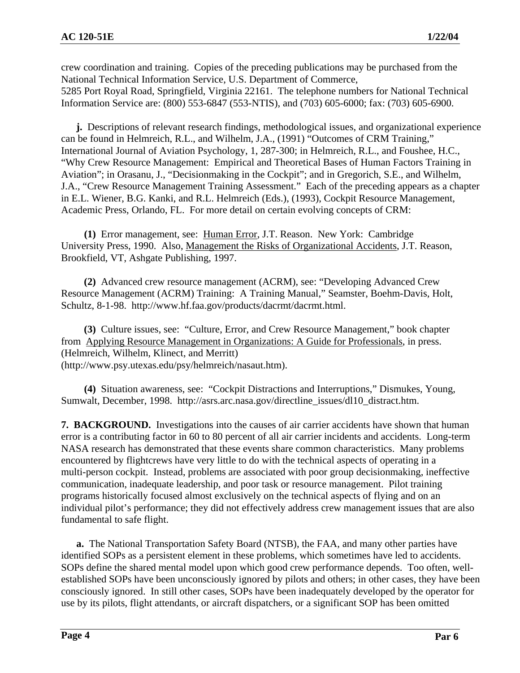crew coordination and training. Copies of the preceding publications may be purchased from the National Technical Information Service, U.S. Department of Commerce, 5285 Port Royal Road, Springfield, Virginia 22161. The telephone numbers for National Technical Information Service are: (800) 553-6847 (553-NTIS), and (703) 605-6000; fax: (703) 605-6900.

**j.** Descriptions of relevant research findings, methodological issues, and organizational experience can be found in Helmreich, R.L., and Wilhelm, J.A., (1991) "Outcomes of CRM Training," International Journal of Aviation Psychology, 1, 287-300; in Helmreich, R.L., and Foushee, H.C., "Why Crew Resource Management: Empirical and Theoretical Bases of Human Factors Training in Aviation"; in Orasanu, J., "Decisionmaking in the Cockpit"; and in Gregorich, S.E., and Wilhelm, J.A., "Crew Resource Management Training Assessment." Each of the preceding appears as a chapter in E.L. Wiener, B.G. Kanki, and R.L. Helmreich (Eds.), (1993), Cockpit Resource Management, Academic Press, Orlando, FL. For more detail on certain evolving concepts of CRM:

**(1)** Error management, see: Human Error, J.T. Reason. New York: Cambridge University Press, 1990. Also, Management the Risks of Organizational Accidents, J.T. Reason, Brookfield, VT, Ashgate Publishing, 1997.

**(2)** Advanced crew resource management (ACRM), see: "Developing Advanced Crew Resource Management (ACRM) Training: A Training Manual," Seamster, Boehm-Davis, Holt, Schultz, 8-1-98. http://www.hf.faa.gov/products/dacrmt/dacrmt.html.

**(3)** Culture issues, see: "Culture, Error, and Crew Resource Management," book chapter from Applying Resource Management in Organizations: A Guide for Professionals, in press. (Helmreich, Wilhelm, Klinect, and Merritt) (http://www.psy.utexas.edu/psy/helmreich/nasaut.htm).

**(4)** Situation awareness, see: "Cockpit Distractions and Interruptions," Dismukes, Young, Sumwalt, December, 1998. http://asrs.arc.nasa.gov/directline\_issues/dl10\_distract.htm.

**7. BACKGROUND.** Investigations into the causes of air carrier accidents have shown that human error is a contributing factor in 60 to 80 percent of all air carrier incidents and accidents. Long-term NASA research has demonstrated that these events share common characteristics. Many problems encountered by flightcrews have very little to do with the technical aspects of operating in a multi-person cockpit. Instead, problems are associated with poor group decisionmaking, ineffective communication, inadequate leadership, and poor task or resource management. Pilot training programs historically focused almost exclusively on the technical aspects of flying and on an individual pilot's performance; they did not effectively address crew management issues that are also fundamental to safe flight.

**a.** The National Transportation Safety Board (NTSB), the FAA, and many other parties have identified SOPs as a persistent element in these problems, which sometimes have led to accidents. SOPs define the shared mental model upon which good crew performance depends. Too often, wellestablished SOPs have been unconsciously ignored by pilots and others; in other cases, they have been consciously ignored. In still other cases, SOPs have been inadequately developed by the operator for use by its pilots, flight attendants, or aircraft dispatchers, or a significant SOP has been omitted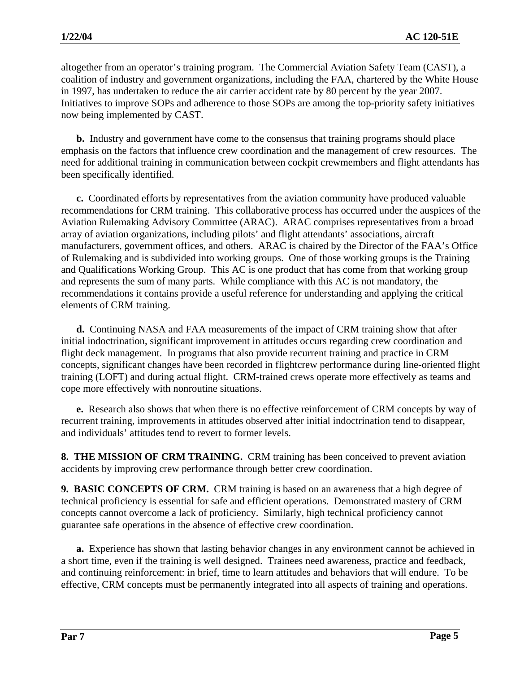altogether from an operator's training program. The Commercial Aviation Safety Team (CAST), a coalition of industry and government organizations, including the FAA, chartered by the White House in 1997, has undertaken to reduce the air carrier accident rate by 80 percent by the year 2007. Initiatives to improve SOPs and adherence to those SOPs are among the top-priority safety initiatives now being implemented by CAST.

**b.** Industry and government have come to the consensus that training programs should place emphasis on the factors that influence crew coordination and the management of crew resources. The need for additional training in communication between cockpit crewmembers and flight attendants has been specifically identified.

**c.** Coordinated efforts by representatives from the aviation community have produced valuable recommendations for CRM training. This collaborative process has occurred under the auspices of the Aviation Rulemaking Advisory Committee (ARAC). ARAC comprises representatives from a broad array of aviation organizations, including pilots' and flight attendants' associations, aircraft manufacturers, government offices, and others. ARAC is chaired by the Director of the FAA's Office of Rulemaking and is subdivided into working groups. One of those working groups is the Training and Qualifications Working Group. This AC is one product that has come from that working group and represents the sum of many parts. While compliance with this AC is not mandatory, the recommendations it contains provide a useful reference for understanding and applying the critical elements of CRM training.

**d.** Continuing NASA and FAA measurements of the impact of CRM training show that after initial indoctrination, significant improvement in attitudes occurs regarding crew coordination and flight deck management. In programs that also provide recurrent training and practice in CRM concepts, significant changes have been recorded in flightcrew performance during line-oriented flight training (LOFT) and during actual flight. CRM-trained crews operate more effectively as teams and cope more effectively with nonroutine situations.

**e.** Research also shows that when there is no effective reinforcement of CRM concepts by way of recurrent training, improvements in attitudes observed after initial indoctrination tend to disappear, and individuals' attitudes tend to revert to former levels.

**8. THE MISSION OF CRM TRAINING.** CRM training has been conceived to prevent aviation accidents by improving crew performance through better crew coordination.

**9. BASIC CONCEPTS OF CRM.** CRM training is based on an awareness that a high degree of technical proficiency is essential for safe and efficient operations. Demonstrated mastery of CRM concepts cannot overcome a lack of proficiency. Similarly, high technical proficiency cannot guarantee safe operations in the absence of effective crew coordination.

**a.** Experience has shown that lasting behavior changes in any environment cannot be achieved in a short time, even if the training is well designed. Trainees need awareness, practice and feedback, and continuing reinforcement: in brief, time to learn attitudes and behaviors that will endure. To be effective, CRM concepts must be permanently integrated into all aspects of training and operations.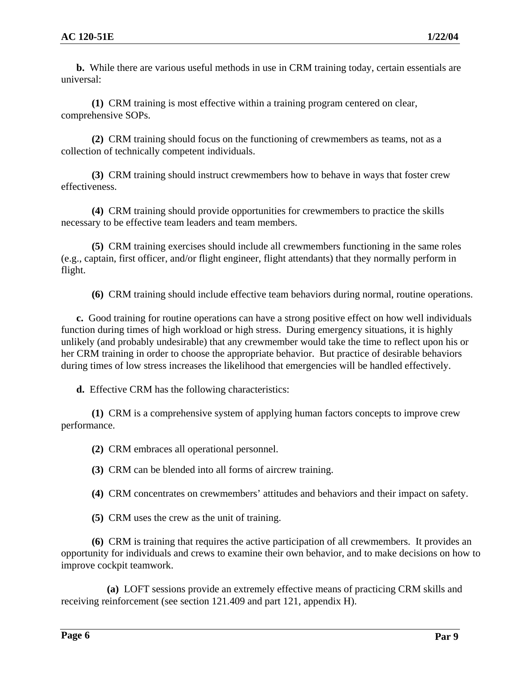**b.** While there are various useful methods in use in CRM training today, certain essentials are universal:

**(1)** CRM training is most effective within a training program centered on clear, comprehensive SOPs.

**(2)** CRM training should focus on the functioning of crewmembers as teams, not as a collection of technically competent individuals.

**(3)** CRM training should instruct crewmembers how to behave in ways that foster crew effectiveness.

**(4)** CRM training should provide opportunities for crewmembers to practice the skills necessary to be effective team leaders and team members.

**(5)** CRM training exercises should include all crewmembers functioning in the same roles (e.g., captain, first officer, and/or flight engineer, flight attendants) that they normally perform in flight.

**(6)** CRM training should include effective team behaviors during normal, routine operations.

**c.** Good training for routine operations can have a strong positive effect on how well individuals function during times of high workload or high stress. During emergency situations, it is highly unlikely (and probably undesirable) that any crewmember would take the time to reflect upon his or her CRM training in order to choose the appropriate behavior. But practice of desirable behaviors during times of low stress increases the likelihood that emergencies will be handled effectively.

**d.** Effective CRM has the following characteristics:

**(1)** CRM is a comprehensive system of applying human factors concepts to improve crew performance.

**(2)** CRM embraces all operational personnel.

**(3)** CRM can be blended into all forms of aircrew training.

**(4)** CRM concentrates on crewmembers' attitudes and behaviors and their impact on safety.

**(5)** CRM uses the crew as the unit of training.

**(6)** CRM is training that requires the active participation of all crewmembers. It provides an opportunity for individuals and crews to examine their own behavior, and to make decisions on how to improve cockpit teamwork.

**(a)** LOFT sessions provide an extremely effective means of practicing CRM skills and receiving reinforcement (see section 121.409 and part 121, appendix H).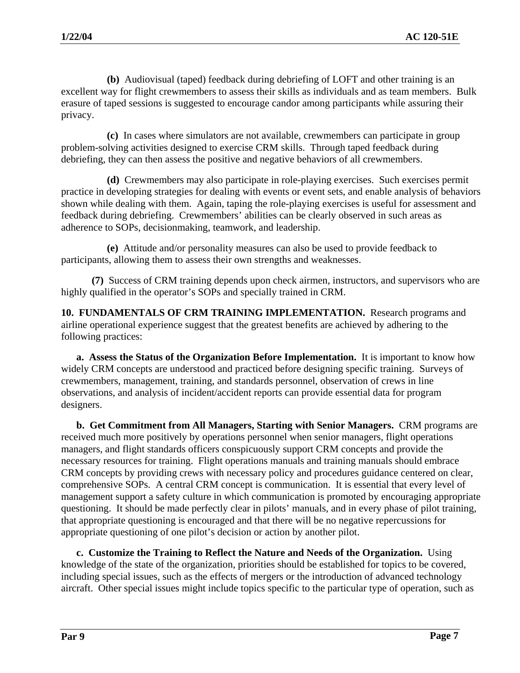**(b)** Audiovisual (taped) feedback during debriefing of LOFT and other training is an excellent way for flight crewmembers to assess their skills as individuals and as team members. Bulk erasure of taped sessions is suggested to encourage candor among participants while assuring their privacy.

**(c)** In cases where simulators are not available, crewmembers can participate in group problem-solving activities designed to exercise CRM skills. Through taped feedback during debriefing, they can then assess the positive and negative behaviors of all crewmembers.

**(d)** Crewmembers may also participate in role-playing exercises. Such exercises permit practice in developing strategies for dealing with events or event sets, and enable analysis of behaviors shown while dealing with them. Again, taping the role-playing exercises is useful for assessment and feedback during debriefing. Crewmembers' abilities can be clearly observed in such areas as adherence to SOPs, decisionmaking, teamwork, and leadership.

**(e)** Attitude and/or personality measures can also be used to provide feedback to participants, allowing them to assess their own strengths and weaknesses.

**(7)** Success of CRM training depends upon check airmen, instructors, and supervisors who are highly qualified in the operator's SOPs and specially trained in CRM.

**10. FUNDAMENTALS OF CRM TRAINING IMPLEMENTATION.** Research programs and airline operational experience suggest that the greatest benefits are achieved by adhering to the following practices:

**a. Assess the Status of the Organization Before Implementation.** It is important to know how widely CRM concepts are understood and practiced before designing specific training. Surveys of crewmembers, management, training, and standards personnel, observation of crews in line observations, and analysis of incident/accident reports can provide essential data for program designers.

**b. Get Commitment from All Managers, Starting with Senior Managers.** CRM programs are received much more positively by operations personnel when senior managers, flight operations managers, and flight standards officers conspicuously support CRM concepts and provide the necessary resources for training. Flight operations manuals and training manuals should embrace CRM concepts by providing crews with necessary policy and procedures guidance centered on clear, comprehensive SOPs. A central CRM concept is communication. It is essential that every level of management support a safety culture in which communication is promoted by encouraging appropriate questioning. It should be made perfectly clear in pilots' manuals, and in every phase of pilot training, that appropriate questioning is encouraged and that there will be no negative repercussions for appropriate questioning of one pilot's decision or action by another pilot.

**c. Customize the Training to Reflect the Nature and Needs of the Organization.** Using knowledge of the state of the organization, priorities should be established for topics to be covered, including special issues, such as the effects of mergers or the introduction of advanced technology aircraft. Other special issues might include topics specific to the particular type of operation, such as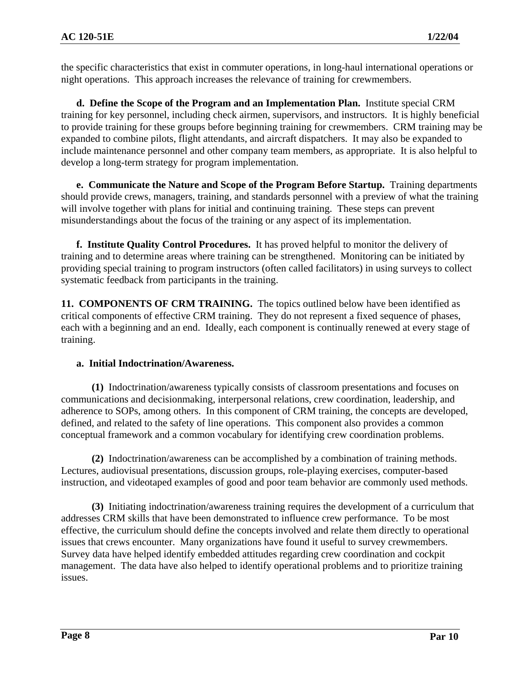the specific characteristics that exist in commuter operations, in long-haul international operations or night operations. This approach increases the relevance of training for crewmembers.

**d. Define the Scope of the Program and an Implementation Plan.** Institute special CRM training for key personnel, including check airmen, supervisors, and instructors. It is highly beneficial to provide training for these groups before beginning training for crewmembers. CRM training may be expanded to combine pilots, flight attendants, and aircraft dispatchers. It may also be expanded to include maintenance personnel and other company team members, as appropriate. It is also helpful to develop a long-term strategy for program implementation.

**e. Communicate the Nature and Scope of the Program Before Startup.** Training departments should provide crews, managers, training, and standards personnel with a preview of what the training will involve together with plans for initial and continuing training. These steps can prevent misunderstandings about the focus of the training or any aspect of its implementation.

**f. Institute Quality Control Procedures.** It has proved helpful to monitor the delivery of training and to determine areas where training can be strengthened. Monitoring can be initiated by providing special training to program instructors (often called facilitators) in using surveys to collect systematic feedback from participants in the training.

**11. COMPONENTS OF CRM TRAINING.** The topics outlined below have been identified as critical components of effective CRM training. They do not represent a fixed sequence of phases, each with a beginning and an end. Ideally, each component is continually renewed at every stage of training.

# **a. Initial Indoctrination/Awareness.**

**(1)** Indoctrination/awareness typically consists of classroom presentations and focuses on communications and decisionmaking, interpersonal relations, crew coordination, leadership, and adherence to SOPs, among others. In this component of CRM training, the concepts are developed, defined, and related to the safety of line operations. This component also provides a common conceptual framework and a common vocabulary for identifying crew coordination problems.

**(2)** Indoctrination/awareness can be accomplished by a combination of training methods. Lectures, audiovisual presentations, discussion groups, role-playing exercises, computer-based instruction, and videotaped examples of good and poor team behavior are commonly used methods.

**(3)** Initiating indoctrination/awareness training requires the development of a curriculum that addresses CRM skills that have been demonstrated to influence crew performance. To be most effective, the curriculum should define the concepts involved and relate them directly to operational issues that crews encounter. Many organizations have found it useful to survey crewmembers. Survey data have helped identify embedded attitudes regarding crew coordination and cockpit management. The data have also helped to identify operational problems and to prioritize training issues.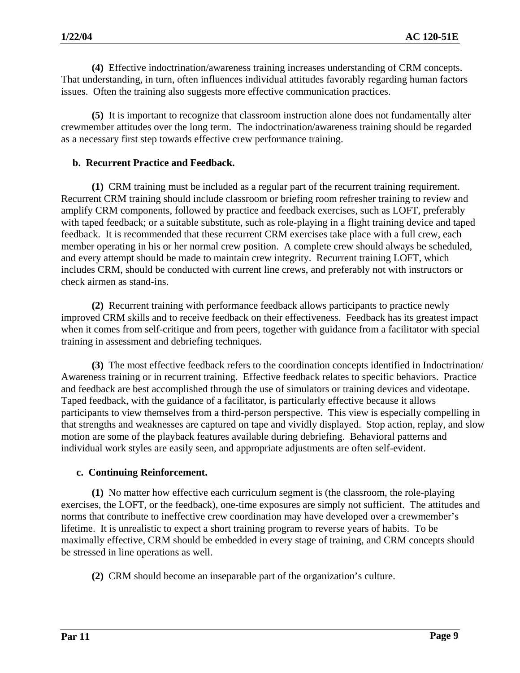**(4)** Effective indoctrination/awareness training increases understanding of CRM concepts. That understanding, in turn, often influences individual attitudes favorably regarding human factors issues. Often the training also suggests more effective communication practices.

**(5)** It is important to recognize that classroom instruction alone does not fundamentally alter crewmember attitudes over the long term. The indoctrination/awareness training should be regarded as a necessary first step towards effective crew performance training.

#### **b. Recurrent Practice and Feedback.**

**(1)** CRM training must be included as a regular part of the recurrent training requirement. Recurrent CRM training should include classroom or briefing room refresher training to review and amplify CRM components, followed by practice and feedback exercises, such as LOFT, preferably with taped feedback; or a suitable substitute, such as role-playing in a flight training device and taped feedback. It is recommended that these recurrent CRM exercises take place with a full crew, each member operating in his or her normal crew position. A complete crew should always be scheduled, and every attempt should be made to maintain crew integrity. Recurrent training LOFT, which includes CRM, should be conducted with current line crews, and preferably not with instructors or check airmen as stand-ins.

**(2)** Recurrent training with performance feedback allows participants to practice newly improved CRM skills and to receive feedback on their effectiveness. Feedback has its greatest impact when it comes from self-critique and from peers, together with guidance from a facilitator with special training in assessment and debriefing techniques.

**(3)** The most effective feedback refers to the coordination concepts identified in Indoctrination/ Awareness training or in recurrent training. Effective feedback relates to specific behaviors. Practice and feedback are best accomplished through the use of simulators or training devices and videotape. Taped feedback, with the guidance of a facilitator, is particularly effective because it allows participants to view themselves from a third-person perspective. This view is especially compelling in that strengths and weaknesses are captured on tape and vividly displayed. Stop action, replay, and slow motion are some of the playback features available during debriefing. Behavioral patterns and individual work styles are easily seen, and appropriate adjustments are often self-evident.

#### **c. Continuing Reinforcement.**

**(1)** No matter how effective each curriculum segment is (the classroom, the role-playing exercises, the LOFT, or the feedback), one-time exposures are simply not sufficient. The attitudes and norms that contribute to ineffective crew coordination may have developed over a crewmember's lifetime. It is unrealistic to expect a short training program to reverse years of habits. To be maximally effective, CRM should be embedded in every stage of training, and CRM concepts should be stressed in line operations as well.

**(2)** CRM should become an inseparable part of the organization's culture.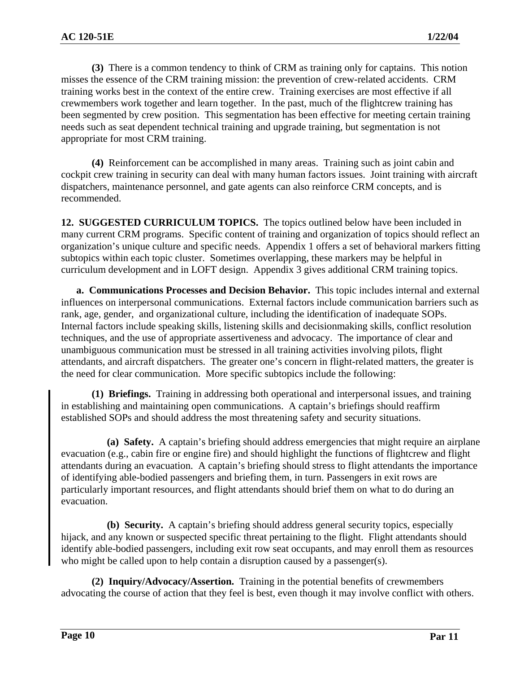**(3)** There is a common tendency to think of CRM as training only for captains. This notion misses the essence of the CRM training mission: the prevention of crew-related accidents. CRM training works best in the context of the entire crew. Training exercises are most effective if all crewmembers work together and learn together. In the past, much of the flightcrew training has been segmented by crew position. This segmentation has been effective for meeting certain training needs such as seat dependent technical training and upgrade training, but segmentation is not appropriate for most CRM training.

**(4)** Reinforcement can be accomplished in many areas. Training such as joint cabin and cockpit crew training in security can deal with many human factors issues. Joint training with aircraft dispatchers, maintenance personnel, and gate agents can also reinforce CRM concepts, and is recommended.

**12. SUGGESTED CURRICULUM TOPICS.** The topics outlined below have been included in many current CRM programs. Specific content of training and organization of topics should reflect an organization's unique culture and specific needs. Appendix 1 offers a set of behavioral markers fitting subtopics within each topic cluster. Sometimes overlapping, these markers may be helpful in curriculum development and in LOFT design. Appendix 3 gives additional CRM training topics.

**a. Communications Processes and Decision Behavior.** This topic includes internal and external influences on interpersonal communications. External factors include communication barriers such as rank, age, gender, and organizational culture, including the identification of inadequate SOPs. Internal factors include speaking skills, listening skills and decisionmaking skills, conflict resolution techniques, and the use of appropriate assertiveness and advocacy. The importance of clear and unambiguous communication must be stressed in all training activities involving pilots, flight attendants, and aircraft dispatchers. The greater one's concern in flight-related matters, the greater is the need for clear communication. More specific subtopics include the following:

**(1) Briefings.** Training in addressing both operational and interpersonal issues, and training in establishing and maintaining open communications. A captain's briefings should reaffirm established SOPs and should address the most threatening safety and security situations.

**(a) Safety.** A captain's briefing should address emergencies that might require an airplane evacuation (e.g., cabin fire or engine fire) and should highlight the functions of flightcrew and flight attendants during an evacuation. A captain's briefing should stress to flight attendants the importance of identifying able-bodied passengers and briefing them, in turn. Passengers in exit rows are particularly important resources, and flight attendants should brief them on what to do during an evacuation.

**(b) Security.** A captain's briefing should address general security topics, especially hijack, and any known or suspected specific threat pertaining to the flight. Flight attendants should identify able-bodied passengers, including exit row seat occupants, and may enroll them as resources who might be called upon to help contain a disruption caused by a passenger(s).

**(2) Inquiry/Advocacy/Assertion.** Training in the potential benefits of crewmembers advocating the course of action that they feel is best, even though it may involve conflict with others.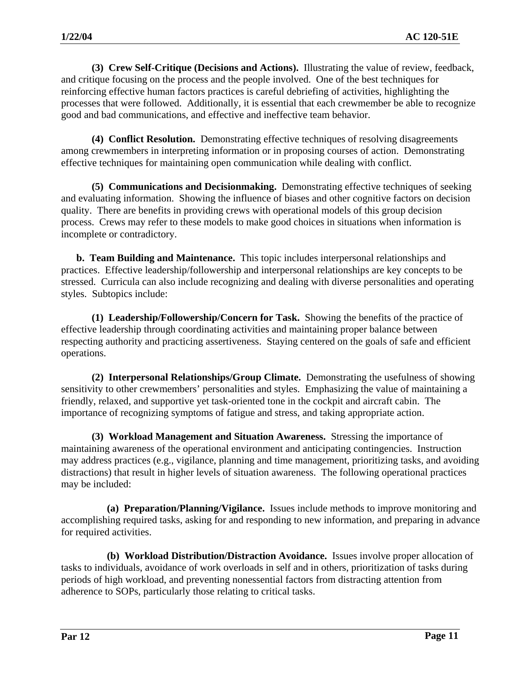**(3) Crew Self-Critique (Decisions and Actions).** Illustrating the value of review, feedback, and critique focusing on the process and the people involved. One of the best techniques for reinforcing effective human factors practices is careful debriefing of activities, highlighting the processes that were followed. Additionally, it is essential that each crewmember be able to recognize good and bad communications, and effective and ineffective team behavior.

**(4) Conflict Resolution.** Demonstrating effective techniques of resolving disagreements among crewmembers in interpreting information or in proposing courses of action. Demonstrating effective techniques for maintaining open communication while dealing with conflict.

**(5) Communications and Decisionmaking.** Demonstrating effective techniques of seeking and evaluating information. Showing the influence of biases and other cognitive factors on decision quality. There are benefits in providing crews with operational models of this group decision process. Crews may refer to these models to make good choices in situations when information is incomplete or contradictory.

**b. Team Building and Maintenance.** This topic includes interpersonal relationships and practices. Effective leadership/followership and interpersonal relationships are key concepts to be stressed. Curricula can also include recognizing and dealing with diverse personalities and operating styles. Subtopics include:

**(1) Leadership/Followership/Concern for Task.** Showing the benefits of the practice of effective leadership through coordinating activities and maintaining proper balance between respecting authority and practicing assertiveness. Staying centered on the goals of safe and efficient operations.

**(2) Interpersonal Relationships/Group Climate.** Demonstrating the usefulness of showing sensitivity to other crewmembers' personalities and styles. Emphasizing the value of maintaining a friendly, relaxed, and supportive yet task-oriented tone in the cockpit and aircraft cabin. The importance of recognizing symptoms of fatigue and stress, and taking appropriate action.

**(3) Workload Management and Situation Awareness.** Stressing the importance of maintaining awareness of the operational environment and anticipating contingencies. Instruction may address practices (e.g., vigilance, planning and time management, prioritizing tasks, and avoiding distractions) that result in higher levels of situation awareness. The following operational practices may be included:

**(a) Preparation/Planning/Vigilance.** Issues include methods to improve monitoring and accomplishing required tasks, asking for and responding to new information, and preparing in advance for required activities.

**(b) Workload Distribution/Distraction Avoidance.** Issues involve proper allocation of tasks to individuals, avoidance of work overloads in self and in others, prioritization of tasks during periods of high workload, and preventing nonessential factors from distracting attention from adherence to SOPs, particularly those relating to critical tasks.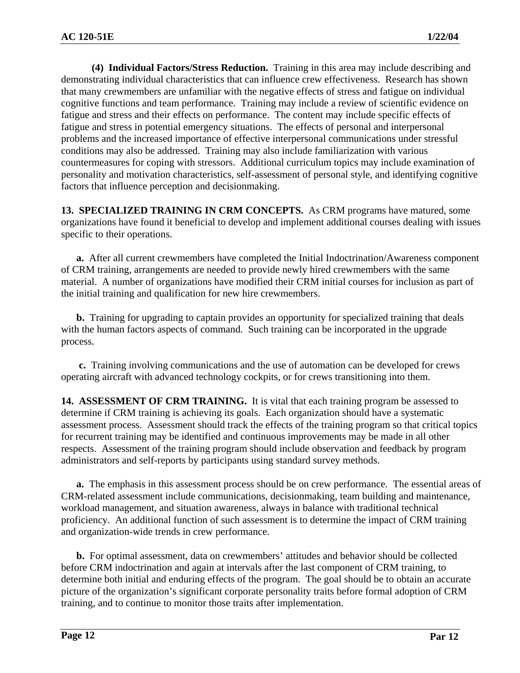**(4) Individual Factors/Stress Reduction.** Training in this area may include describing and demonstrating individual characteristics that can influence crew effectiveness. Research has shown that many crewmembers are unfamiliar with the negative effects of stress and fatigue on individual cognitive functions and team performance. Training may include a review of scientific evidence on fatigue and stress and their effects on performance. The content may include specific effects of fatigue and stress in potential emergency situations. The effects of personal and interpersonal problems and the increased importance of effective interpersonal communications under stressful conditions may also be addressed. Training may also include familiarization with various countermeasures for coping with stressors. Additional curriculum topics may include examination of personality and motivation characteristics, self-assessment of personal style, and identifying cognitive factors that influence perception and decisionmaking.

**13. SPECIALIZED TRAINING IN CRM CONCEPTS.** As CRM programs have matured, some organizations have found it beneficial to develop and implement additional courses dealing with issues specific to their operations.

**a.** After all current crewmembers have completed the Initial Indoctrination/Awareness component of CRM training, arrangements are needed to provide newly hired crewmembers with the same material. A number of organizations have modified their CRM initial courses for inclusion as part of the initial training and qualification for new hire crewmembers.

**b.** Training for upgrading to captain provides an opportunity for specialized training that deals with the human factors aspects of command. Such training can be incorporated in the upgrade process.

 **c.** Training involving communications and the use of automation can be developed for crews operating aircraft with advanced technology cockpits, or for crews transitioning into them.

**14. ASSESSMENT OF CRM TRAINING.** It is vital that each training program be assessed to determine if CRM training is achieving its goals. Each organization should have a systematic assessment process. Assessment should track the effects of the training program so that critical topics for recurrent training may be identified and continuous improvements may be made in all other respects. Assessment of the training program should include observation and feedback by program administrators and self-reports by participants using standard survey methods.

**a.** The emphasis in this assessment process should be on crew performance. The essential areas of CRM-related assessment include communications, decisionmaking, team building and maintenance, workload management, and situation awareness, always in balance with traditional technical proficiency. An additional function of such assessment is to determine the impact of CRM training and organization-wide trends in crew performance.

**b.** For optimal assessment, data on crewmembers' attitudes and behavior should be collected before CRM indoctrination and again at intervals after the last component of CRM training, to determine both initial and enduring effects of the program. The goal should be to obtain an accurate picture of the organization's significant corporate personality traits before formal adoption of CRM training, and to continue to monitor those traits after implementation.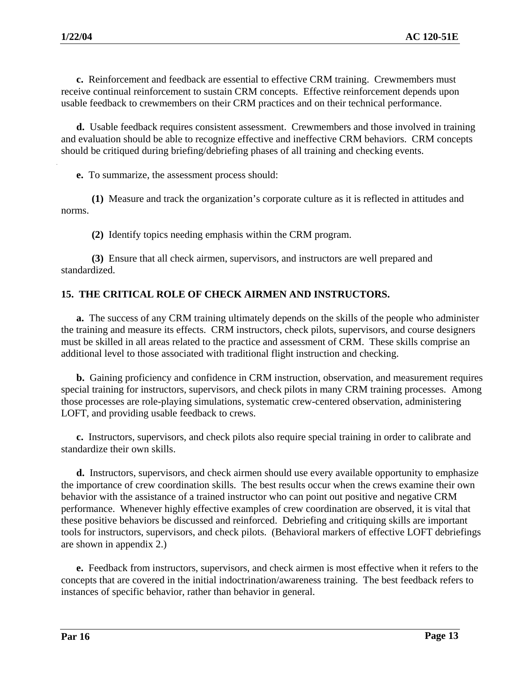**c.** Reinforcement and feedback are essential to effective CRM training. Crewmembers must receive continual reinforcement to sustain CRM concepts. Effective reinforcement depends upon usable feedback to crewmembers on their CRM practices and on their technical performance.

**d.** Usable feedback requires consistent assessment. Crewmembers and those involved in training and evaluation should be able to recognize effective and ineffective CRM behaviors. CRM concepts should be critiqued during briefing/debriefing phases of all training and checking events.

**e.** To summarize, the assessment process should:

**(1)** Measure and track the organization's corporate culture as it is reflected in attitudes and norms.

**(2)** Identify topics needing emphasis within the CRM program.

**(3)** Ensure that all check airmen, supervisors, and instructors are well prepared and standardized.

# **15. THE CRITICAL ROLE OF CHECK AIRMEN AND INSTRUCTORS.**

**a.** The success of any CRM training ultimately depends on the skills of the people who administer the training and measure its effects. CRM instructors, check pilots, supervisors, and course designers must be skilled in all areas related to the practice and assessment of CRM. These skills comprise an additional level to those associated with traditional flight instruction and checking.

**b.** Gaining proficiency and confidence in CRM instruction, observation, and measurement requires special training for instructors, supervisors, and check pilots in many CRM training processes. Among those processes are role-playing simulations, systematic crew-centered observation, administering LOFT, and providing usable feedback to crews.

**c.** Instructors, supervisors, and check pilots also require special training in order to calibrate and standardize their own skills.

**d.** Instructors, supervisors, and check airmen should use every available opportunity to emphasize the importance of crew coordination skills. The best results occur when the crews examine their own behavior with the assistance of a trained instructor who can point out positive and negative CRM performance. Whenever highly effective examples of crew coordination are observed, it is vital that these positive behaviors be discussed and reinforced. Debriefing and critiquing skills are important tools for instructors, supervisors, and check pilots. (Behavioral markers of effective LOFT debriefings are shown in appendix 2.)

**e.** Feedback from instructors, supervisors, and check airmen is most effective when it refers to the concepts that are covered in the initial indoctrination/awareness training. The best feedback refers to instances of specific behavior, rather than behavior in general.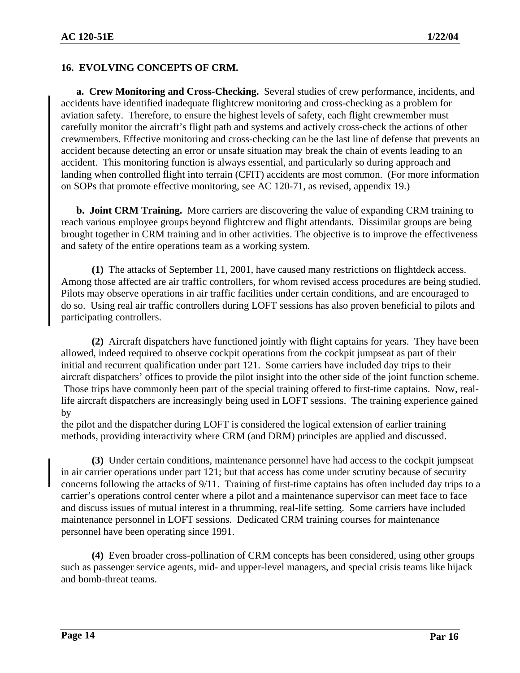# **16. EVOLVING CONCEPTS OF CRM.**

**a. Crew Monitoring and Cross-Checking.** Several studies of crew performance, incidents, and accidents have identified inadequate flightcrew monitoring and cross-checking as a problem for aviation safety. Therefore, to ensure the highest levels of safety, each flight crewmember must carefully monitor the aircraft's flight path and systems and actively cross-check the actions of other crewmembers. Effective monitoring and cross-checking can be the last line of defense that prevents an accident because detecting an error or unsafe situation may break the chain of events leading to an accident. This monitoring function is always essential, and particularly so during approach and landing when controlled flight into terrain (CFIT) accidents are most common. (For more information on SOPs that promote effective monitoring, see AC 120-71, as revised, appendix 19.)

**b. Joint CRM Training.** More carriers are discovering the value of expanding CRM training to reach various employee groups beyond flightcrew and flight attendants. Dissimilar groups are being brought together in CRM training and in other activities. The objective is to improve the effectiveness and safety of the entire operations team as a working system.

**(1)** The attacks of September 11, 2001, have caused many restrictions on flightdeck access. Among those affected are air traffic controllers, for whom revised access procedures are being studied. Pilots may observe operations in air traffic facilities under certain conditions, and are encouraged to do so. Using real air traffic controllers during LOFT sessions has also proven beneficial to pilots and participating controllers.

**(2)** Aircraft dispatchers have functioned jointly with flight captains for years. They have been allowed, indeed required to observe cockpit operations from the cockpit jumpseat as part of their initial and recurrent qualification under part 121. Some carriers have included day trips to their aircraft dispatchers' offices to provide the pilot insight into the other side of the joint function scheme. Those trips have commonly been part of the special training offered to first-time captains. Now, reallife aircraft dispatchers are increasingly being used in LOFT sessions. The training experience gained by

the pilot and the dispatcher during LOFT is considered the logical extension of earlier training methods, providing interactivity where CRM (and DRM) principles are applied and discussed.

**(3)** Under certain conditions, maintenance personnel have had access to the cockpit jumpseat in air carrier operations under part 121; but that access has come under scrutiny because of security concerns following the attacks of 9/11. Training of first-time captains has often included day trips to a carrier's operations control center where a pilot and a maintenance supervisor can meet face to face and discuss issues of mutual interest in a thrumming, real-life setting. Some carriers have included maintenance personnel in LOFT sessions. Dedicated CRM training courses for maintenance personnel have been operating since 1991.

**(4)** Even broader cross-pollination of CRM concepts has been considered, using other groups such as passenger service agents, mid- and upper-level managers, and special crisis teams like hijack and bomb-threat teams.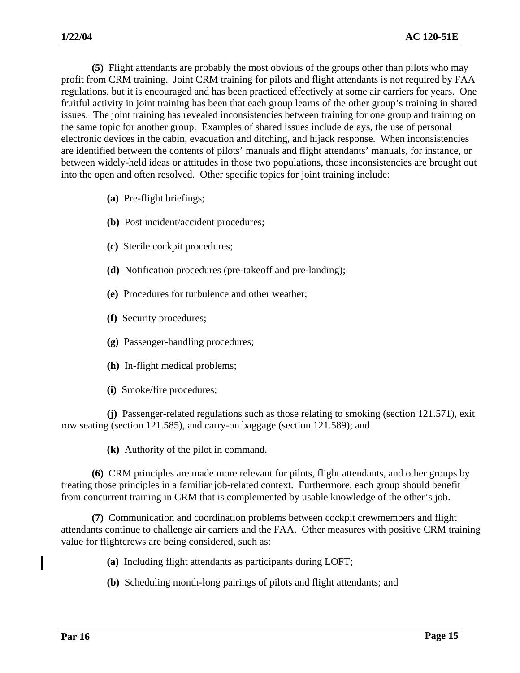**(5)** Flight attendants are probably the most obvious of the groups other than pilots who may profit from CRM training. Joint CRM training for pilots and flight attendants is not required by FAA regulations, but it is encouraged and has been practiced effectively at some air carriers for years. One fruitful activity in joint training has been that each group learns of the other group's training in shared issues. The joint training has revealed inconsistencies between training for one group and training on the same topic for another group. Examples of shared issues include delays, the use of personal electronic devices in the cabin, evacuation and ditching, and hijack response. When inconsistencies are identified between the contents of pilots' manuals and flight attendants' manuals, for instance, or between widely-held ideas or attitudes in those two populations, those inconsistencies are brought out into the open and often resolved. Other specific topics for joint training include:

- **(a)** Pre-flight briefings;
- **(b)** Post incident/accident procedures;
- **(c)** Sterile cockpit procedures;
- **(d)** Notification procedures (pre-takeoff and pre-landing);
- **(e)** Procedures for turbulence and other weather;
- **(f)** Security procedures;
- **(g)** Passenger-handling procedures;
- **(h)** In-flight medical problems;
- **(i)** Smoke/fire procedures;

**(j)** Passenger-related regulations such as those relating to smoking (section 121.571), exit row seating (section 121.585), and carry-on baggage (section 121.589); and

**(k)** Authority of the pilot in command.

**(6)** CRM principles are made more relevant for pilots, flight attendants, and other groups by treating those principles in a familiar job-related context. Furthermore, each group should benefit from concurrent training in CRM that is complemented by usable knowledge of the other's job.

**(7)** Communication and coordination problems between cockpit crewmembers and flight attendants continue to challenge air carriers and the FAA. Other measures with positive CRM training value for flightcrews are being considered, such as:

- **(a)** Including flight attendants as participants during LOFT;
- **(b)** Scheduling month-long pairings of pilots and flight attendants; and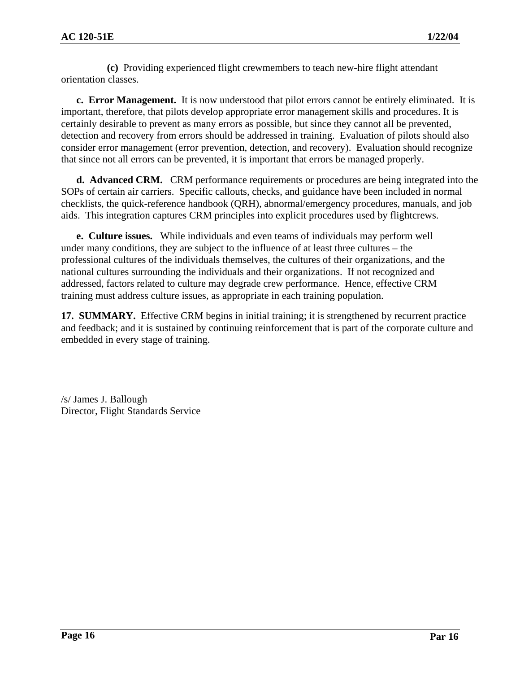**(c)** Providing experienced flight crewmembers to teach new-hire flight attendant orientation classes.

**c. Error Management.** It is now understood that pilot errors cannot be entirely eliminated. It is important, therefore, that pilots develop appropriate error management skills and procedures. It is certainly desirable to prevent as many errors as possible, but since they cannot all be prevented, detection and recovery from errors should be addressed in training. Evaluation of pilots should also consider error management (error prevention, detection, and recovery). Evaluation should recognize that since not all errors can be prevented, it is important that errors be managed properly.

**d. Advanced CRM.** CRM performance requirements or procedures are being integrated into the SOPs of certain air carriers. Specific callouts, checks, and guidance have been included in normal checklists, the quick-reference handbook (QRH), abnormal/emergency procedures, manuals, and job aids. This integration captures CRM principles into explicit procedures used by flightcrews.

**e. Culture issues.** While individuals and even teams of individuals may perform well under many conditions, they are subject to the influence of at least three cultures – the professional cultures of the individuals themselves, the cultures of their organizations, and the national cultures surrounding the individuals and their organizations. If not recognized and addressed, factors related to culture may degrade crew performance. Hence, effective CRM training must address culture issues, as appropriate in each training population.

**17. SUMMARY.** Effective CRM begins in initial training; it is strengthened by recurrent practice and feedback; and it is sustained by continuing reinforcement that is part of the corporate culture and embedded in every stage of training.

/s/ James J. Ballough Director, Flight Standards Service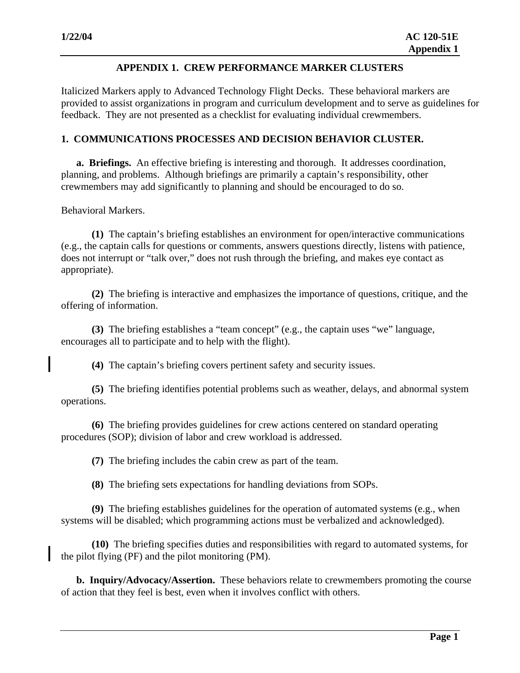#### **APPENDIX 1. CREW PERFORMANCE MARKER CLUSTERS**

Italicized Markers apply to Advanced Technology Flight Decks. These behavioral markers are provided to assist organizations in program and curriculum development and to serve as guidelines for feedback. They are not presented as a checklist for evaluating individual crewmembers.

#### **1. COMMUNICATIONS PROCESSES AND DECISION BEHAVIOR CLUSTER.**

**a. Briefings.** An effective briefing is interesting and thorough. It addresses coordination, planning, and problems. Although briefings are primarily a captain's responsibility, other crewmembers may add significantly to planning and should be encouraged to do so.

Behavioral Markers.

**(1)** The captain's briefing establishes an environment for open/interactive communications (e.g., the captain calls for questions or comments, answers questions directly, listens with patience, does not interrupt or "talk over," does not rush through the briefing, and makes eye contact as appropriate).

**(2)** The briefing is interactive and emphasizes the importance of questions, critique, and the offering of information.

**(3)** The briefing establishes a "team concept" (e.g., the captain uses "we" language, encourages all to participate and to help with the flight).

**(4)** The captain's briefing covers pertinent safety and security issues.

**(5)** The briefing identifies potential problems such as weather, delays, and abnormal system operations.

**(6)** The briefing provides guidelines for crew actions centered on standard operating procedures (SOP); division of labor and crew workload is addressed.

**(7)** The briefing includes the cabin crew as part of the team.

**(8)** The briefing sets expectations for handling deviations from SOPs.

**(9)** The briefing establishes guidelines for the operation of automated systems (e.g., when systems will be disabled; which programming actions must be verbalized and acknowledged).

**(10)** The briefing specifies duties and responsibilities with regard to automated systems, for the pilot flying (PF) and the pilot monitoring (PM).

**b. Inquiry/Advocacy/Assertion.** These behaviors relate to crewmembers promoting the course of action that they feel is best, even when it involves conflict with others.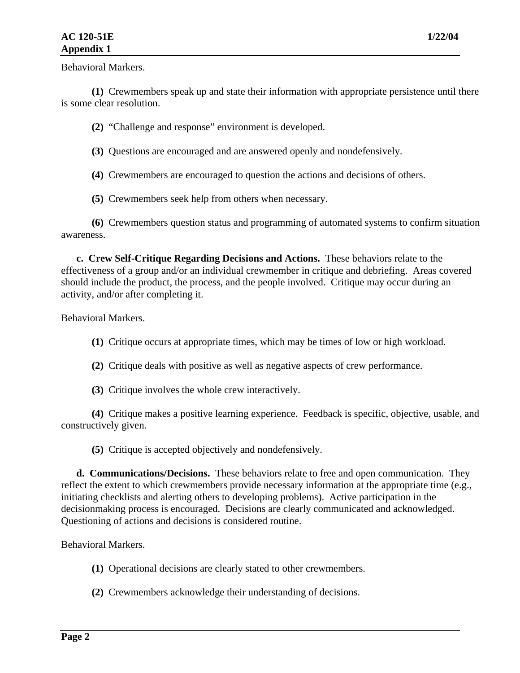Behavioral Markers.

**(1)** Crewmembers speak up and state their information with appropriate persistence until there is some clear resolution.

**(2)** "Challenge and response" environment is developed.

**(3)** Questions are encouraged and are answered openly and nondefensively.

**(4)** Crewmembers are encouraged to question the actions and decisions of others.

**(5)** Crewmembers seek help from others when necessary.

**(6)**Crewmembers question status and programming of automated systems to confirm situation awareness.

**c. Crew Self-Critique Regarding Decisions and Actions.** These behaviors relate to the effectiveness of a group and/or an individual crewmember in critique and debriefing. Areas covered should include the product, the process, and the people involved. Critique may occur during an activity, and/or after completing it.

Behavioral Markers.

**(1)** Critique occurs at appropriate times, which may be times of low or high workload.

- **(2)** Critique deals with positive as well as negative aspects of crew performance.
- **(3)** Critique involves the whole crew interactively.

**(4)** Critique makes a positive learning experience. Feedback is specific, objective, usable, and constructively given.

**(5)** Critique is accepted objectively and nondefensively.

**d. Communications/Decisions.** These behaviors relate to free and open communication. They reflect the extent to which crewmembers provide necessary information at the appropriate time (e.g., initiating checklists and alerting others to developing problems). Active participation in the decisionmaking process is encouraged. Decisions are clearly communicated and acknowledged. Questioning of actions and decisions is considered routine.

Behavioral Markers.

**(1)** Operational decisions are clearly stated to other crewmembers.

**(2)** Crewmembers acknowledge their understanding of decisions.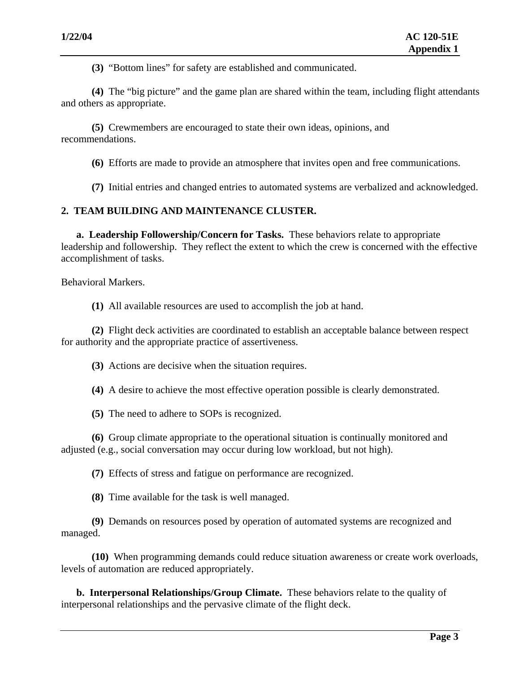**(3)** "Bottom lines" for safety are established and communicated.

**(4)** The "big picture" and the game plan are shared within the team, including flight attendants and others as appropriate.

**(5)** Crewmembers are encouraged to state their own ideas, opinions, and recommendations.

**(6)** Efforts are made to provide an atmosphere that invites open and free communications.

**(7)** Initial entries and changed entries to automated systems are verbalized and acknowledged.

#### **2. TEAM BUILDING AND MAINTENANCE CLUSTER.**

**a. Leadership Followership/Concern for Tasks.** These behaviors relate to appropriate leadership and followership. They reflect the extent to which the crew is concerned with the effective accomplishment of tasks.

Behavioral Markers.

**(1)** All available resources are used to accomplish the job at hand.

**(2)** Flight deck activities are coordinated to establish an acceptable balance between respect for authority and the appropriate practice of assertiveness.

**(3)** Actions are decisive when the situation requires.

**(4)** A desire to achieve the most effective operation possible is clearly demonstrated.

**(5)** The need to adhere to SOPs is recognized.

**(6)** Group climate appropriate to the operational situation is continually monitored and adjusted (e.g., social conversation may occur during low workload, but not high).

**(7)** Effects of stress and fatigue on performance are recognized.

**(8)** Time available for the task is well managed.

**(9)** Demands on resources posed by operation of automated systems are recognized and managed.

**(10)** When programming demands could reduce situation awareness or create work overloads, levels of automation are reduced appropriately.

**b. Interpersonal Relationships/Group Climate.** These behaviors relate to the quality of interpersonal relationships and the pervasive climate of the flight deck.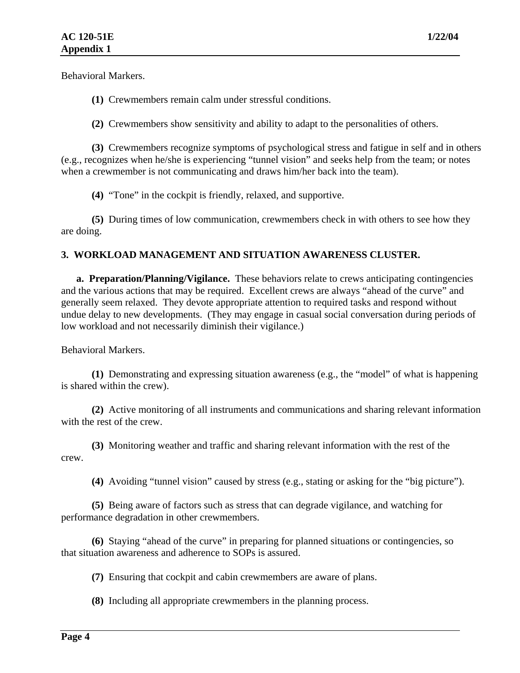Behavioral Markers.

**(1)** Crewmembers remain calm under stressful conditions.

**(2)** Crewmembers show sensitivity and ability to adapt to the personalities of others.

**(3)** Crewmembers recognize symptoms of psychological stress and fatigue in self and in others (e.g., recognizes when he/she is experiencing "tunnel vision" and seeks help from the team; or notes when a crewmember is not communicating and draws him/her back into the team).

**(4)** "Tone" in the cockpit is friendly, relaxed, and supportive.

**(5)** During times of low communication, crewmembers check in with others to see how they are doing.

#### **3. WORKLOAD MANAGEMENT AND SITUATION AWARENESS CLUSTER.**

**a. Preparation/Planning/Vigilance.** These behaviors relate to crews anticipating contingencies and the various actions that may be required. Excellent crews are always "ahead of the curve" and generally seem relaxed. They devote appropriate attention to required tasks and respond without undue delay to new developments. (They may engage in casual social conversation during periods of low workload and not necessarily diminish their vigilance.)

Behavioral Markers.

**(1)** Demonstrating and expressing situation awareness (e.g., the "model" of what is happening is shared within the crew).

**(2)** Active monitoring of all instruments and communications and sharing relevant information with the rest of the crew.

**(3)** Monitoring weather and traffic and sharing relevant information with the rest of the crew.

**(4)** Avoiding "tunnel vision" caused by stress (e.g., stating or asking for the "big picture").

**(5)** Being aware of factors such as stress that can degrade vigilance, and watching for performance degradation in other crewmembers.

**(6)** Staying "ahead of the curve" in preparing for planned situations or contingencies, so that situation awareness and adherence to SOPs is assured.

**(7)** Ensuring that cockpit and cabin crewmembers are aware of plans.

**(8)** Including all appropriate crewmembers in the planning process.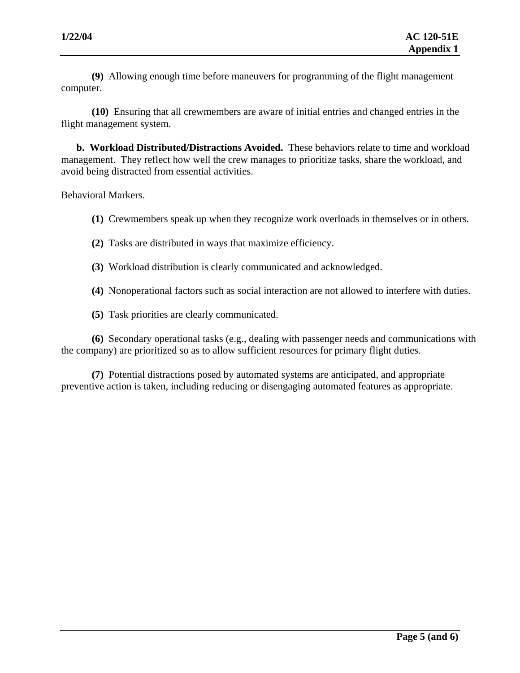**(9)** Allowing enough time before maneuvers for programming of the flight management computer.

**(10)** Ensuring that all crewmembers are aware of initial entries and changed entries in the flight management system.

**b. Workload Distributed/Distractions Avoided.** These behaviors relate to time and workload management. They reflect how well the crew manages to prioritize tasks, share the workload, and avoid being distracted from essential activities.

Behavioral Markers.

- **(1)** Crewmembers speak up when they recognize work overloads in themselves or in others.
- **(2)** Tasks are distributed in ways that maximize efficiency.
- **(3)** Workload distribution is clearly communicated and acknowledged.

**(4)** Nonoperational factors such as social interaction are not allowed to interfere with duties.

**(5)** Task priorities are clearly communicated.

**(6)** Secondary operational tasks (e.g., dealing with passenger needs and communications with the company) are prioritized so as to allow sufficient resources for primary flight duties.

**(7)** Potential distractions posed by automated systems are anticipated, and appropriate preventive action is taken, including reducing or disengaging automated features as appropriate.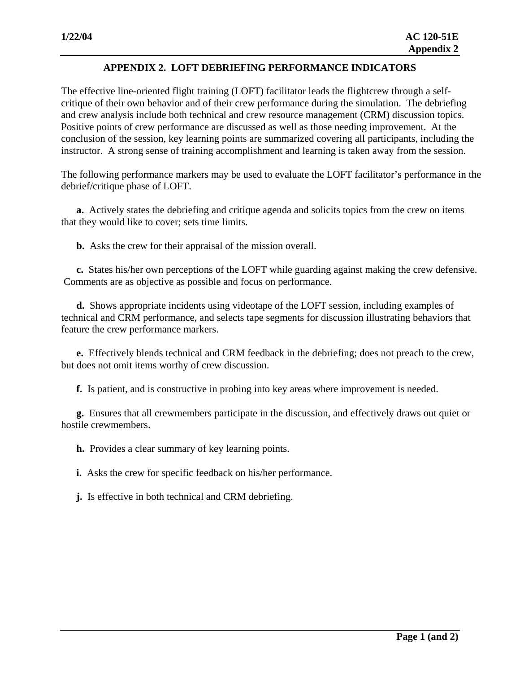#### **APPENDIX 2. LOFT DEBRIEFING PERFORMANCE INDICATORS**

The effective line-oriented flight training (LOFT) facilitator leads the flightcrew through a selfcritique of their own behavior and of their crew performance during the simulation. The debriefing and crew analysis include both technical and crew resource management (CRM) discussion topics. Positive points of crew performance are discussed as well as those needing improvement. At the conclusion of the session, key learning points are summarized covering all participants, including the instructor. A strong sense of training accomplishment and learning is taken away from the session.

The following performance markers may be used to evaluate the LOFT facilitator's performance in the debrief/critique phase of LOFT.

**a.** Actively states the debriefing and critique agenda and solicits topics from the crew on items that they would like to cover; sets time limits.

**b.** Asks the crew for their appraisal of the mission overall.

**c.** States his/her own perceptions of the LOFT while guarding against making the crew defensive. Comments are as objective as possible and focus on performance.

**d.** Shows appropriate incidents using videotape of the LOFT session, including examples of technical and CRM performance, and selects tape segments for discussion illustrating behaviors that feature the crew performance markers.

**e.** Effectively blends technical and CRM feedback in the debriefing; does not preach to the crew, but does not omit items worthy of crew discussion.

**f.** Is patient, and is constructive in probing into key areas where improvement is needed.

**g.** Ensures that all crewmembers participate in the discussion, and effectively draws out quiet or hostile crewmembers.

**h.** Provides a clear summary of key learning points.

**i.** Asks the crew for specific feedback on his/her performance.

**j.** Is effective in both technical and CRM debriefing.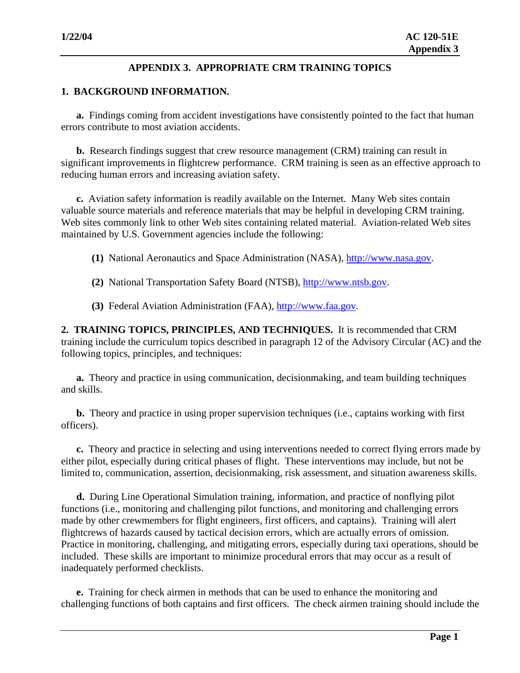# **APPENDIX 3. APPROPRIATE CRM TRAINING TOPICS**

#### **1. BACKGROUND INFORMATION.**

**a.** Findings coming from accident investigations have consistently pointed to the fact that human errors contribute to most aviation accidents.

**b.** Research findings suggest that crew resource management (CRM) training can result in significant improvements in flightcrew performance. CRM training is seen as an effective approach to reducing human errors and increasing aviation safety.

**c.** Aviation safety information is readily available on the Internet. Many Web sites contain valuable source materials and reference materials that may be helpful in developing CRM training. Web sites commonly link to other Web sites containing related material. Aviation-related Web sites maintained by U.S. Government agencies include the following:

- **(1)** National Aeronautics and Space Administration (NASA), [http://www.nasa.gov.](http://www.nasa.gov/)
- **(2)** National Transportation Safety Board (NTSB), [http://www.ntsb.gov.](http://www.ntsb.gov/)
- **(3)** Federal Aviation Administration (FAA), [http://www.faa.gov](http://www.faa.gov/).

**2. TRAINING TOPICS, PRINCIPLES, AND TECHNIQUES.** It is recommended that CRM training include the curriculum topics described in paragraph 12 of the Advisory Circular (AC) and the following topics, principles, and techniques:

**a.** Theory and practice in using communication, decisionmaking, and team building techniques and skills.

**b.** Theory and practice in using proper supervision techniques (i.e., captains working with first officers).

**c.** Theory and practice in selecting and using interventions needed to correct flying errors made by either pilot, especially during critical phases of flight. These interventions may include, but not be limited to, communication, assertion, decisionmaking, risk assessment, and situation awareness skills.

**d.** During Line Operational Simulation training, information, and practice of nonflying pilot functions (i.e., monitoring and challenging pilot functions, and monitoring and challenging errors made by other crewmembers for flight engineers, first officers, and captains). Training will alert flightcrews of hazards caused by tactical decision errors, which are actually errors of omission. Practice in monitoring, challenging, and mitigating errors, especially during taxi operations, should be included. These skills are important to minimize procedural errors that may occur as a result of inadequately performed checklists.

**e.** Training for check airmen in methods that can be used to enhance the monitoring and challenging functions of both captains and first officers. The check airmen training should include the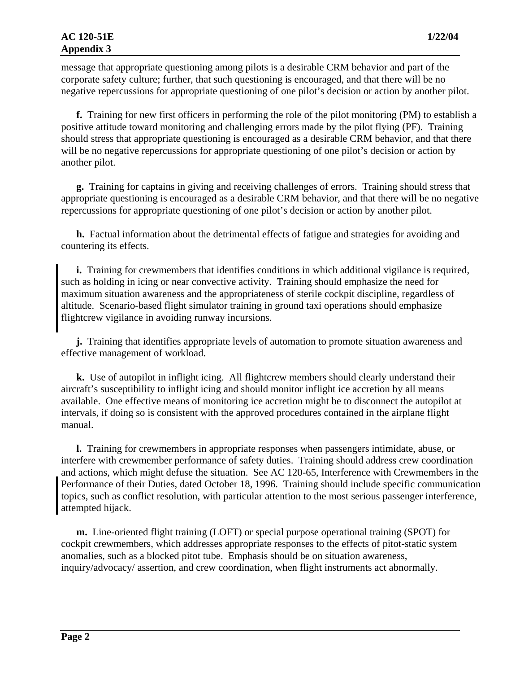message that appropriate questioning among pilots is a desirable CRM behavior and part of the corporate safety culture; further, that such questioning is encouraged, and that there will be no negative repercussions for appropriate questioning of one pilot's decision or action by another pilot.

**f.** Training for new first officers in performing the role of the pilot monitoring (PM) to establish a positive attitude toward monitoring and challenging errors made by the pilot flying (PF). Training should stress that appropriate questioning is encouraged as a desirable CRM behavior, and that there will be no negative repercussions for appropriate questioning of one pilot's decision or action by another pilot.

**g.** Training for captains in giving and receiving challenges of errors. Training should stress that appropriate questioning is encouraged as a desirable CRM behavior, and that there will be no negative repercussions for appropriate questioning of one pilot's decision or action by another pilot.

**h.** Factual information about the detrimental effects of fatigue and strategies for avoiding and countering its effects.

**i.** Training for crewmembers that identifies conditions in which additional vigilance is required, such as holding in icing or near convective activity. Training should emphasize the need for maximum situation awareness and the appropriateness of sterile cockpit discipline, regardless of altitude. Scenario-based flight simulator training in ground taxi operations should emphasize flightcrew vigilance in avoiding runway incursions.

**j.** Training that identifies appropriate levels of automation to promote situation awareness and effective management of workload.

**k.** Use of autopilot in inflight icing. All flightcrew members should clearly understand their aircraft's susceptibility to inflight icing and should monitor inflight ice accretion by all means available. One effective means of monitoring ice accretion might be to disconnect the autopilot at intervals, if doing so is consistent with the approved procedures contained in the airplane flight manual.

**l.** Training for crewmembers in appropriate responses when passengers intimidate, abuse, or interfere with crewmember performance of safety duties. Training should address crew coordination and actions, which might defuse the situation. See AC 120-65, Interference with Crewmembers in the Performance of their Duties, dated October 18, 1996. Training should include specific communication topics, such as conflict resolution, with particular attention to the most serious passenger interference, attempted hijack.

**m.** Line-oriented flight training (LOFT) or special purpose operational training (SPOT) for cockpit crewmembers, which addresses appropriate responses to the effects of pitot-static system anomalies, such as a blocked pitot tube. Emphasis should be on situation awareness, inquiry/advocacy/ assertion, and crew coordination, when flight instruments act abnormally.